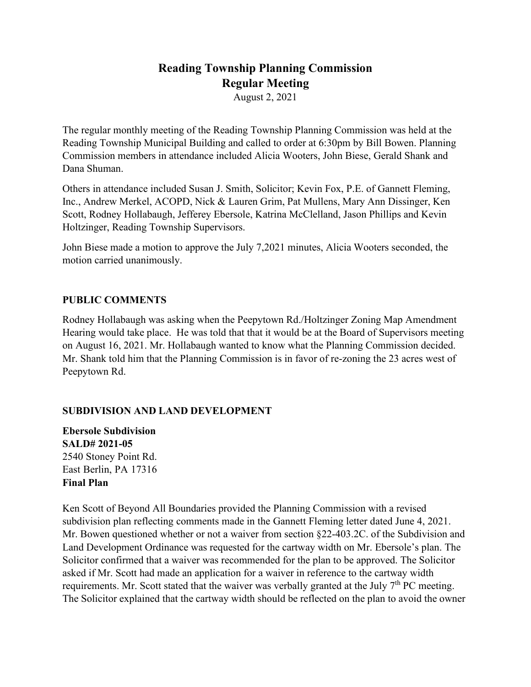# **Reading Township Planning Commission Regular Meeting**

August 2, 2021

The regular monthly meeting of the Reading Township Planning Commission was held at the Reading Township Municipal Building and called to order at 6:30pm by Bill Bowen. Planning Commission members in attendance included Alicia Wooters, John Biese, Gerald Shank and Dana Shuman.

Others in attendance included Susan J. Smith, Solicitor; Kevin Fox, P.E. of Gannett Fleming, Inc., Andrew Merkel, ACOPD, Nick & Lauren Grim, Pat Mullens, Mary Ann Dissinger, Ken Scott, Rodney Hollabaugh, Jefferey Ebersole, Katrina McClelland, Jason Phillips and Kevin Holtzinger, Reading Township Supervisors.

John Biese made a motion to approve the July 7,2021 minutes, Alicia Wooters seconded, the motion carried unanimously.

### **PUBLIC COMMENTS**

Rodney Hollabaugh was asking when the Peepytown Rd./Holtzinger Zoning Map Amendment Hearing would take place. He was told that that it would be at the Board of Supervisors meeting on August 16, 2021. Mr. Hollabaugh wanted to know what the Planning Commission decided. Mr. Shank told him that the Planning Commission is in favor of re-zoning the 23 acres west of Peepytown Rd.

## **SUBDIVISION AND LAND DEVELOPMENT**

**Ebersole Subdivision SALD# 2021-05** 2540 Stoney Point Rd. East Berlin, PA 17316 **Final Plan**

Ken Scott of Beyond All Boundaries provided the Planning Commission with a revised subdivision plan reflecting comments made in the Gannett Fleming letter dated June 4, 2021. Mr. Bowen questioned whether or not a waiver from section §22-403.2C. of the Subdivision and Land Development Ordinance was requested for the cartway width on Mr. Ebersole's plan. The Solicitor confirmed that a waiver was recommended for the plan to be approved. The Solicitor asked if Mr. Scott had made an application for a waiver in reference to the cartway width requirements. Mr. Scott stated that the waiver was verbally granted at the July  $7<sup>th</sup>$  PC meeting. The Solicitor explained that the cartway width should be reflected on the plan to avoid the owner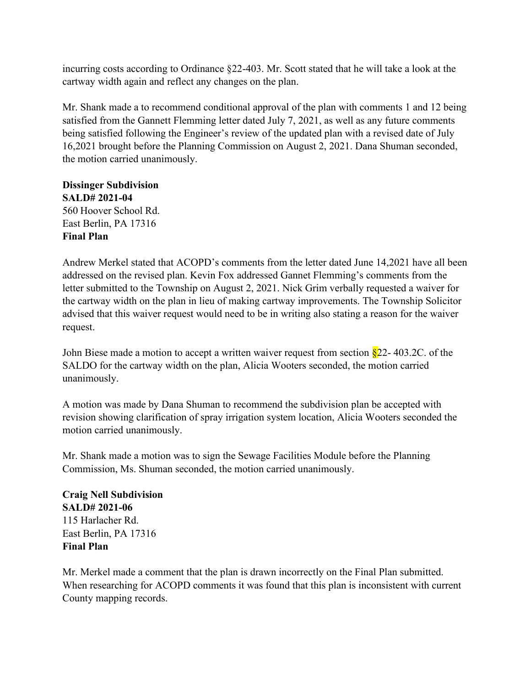incurring costs according to Ordinance §22-403. Mr. Scott stated that he will take a look at the cartway width again and reflect any changes on the plan.

Mr. Shank made a to recommend conditional approval of the plan with comments 1 and 12 being satisfied from the Gannett Flemming letter dated July 7, 2021, as well as any future comments being satisfied following the Engineer's review of the updated plan with a revised date of July 16,2021 brought before the Planning Commission on August 2, 2021. Dana Shuman seconded, the motion carried unanimously.

**Dissinger Subdivision SALD# 2021-04** 560 Hoover School Rd. East Berlin, PA 17316 **Final Plan**

Andrew Merkel stated that ACOPD's comments from the letter dated June 14,2021 have all been addressed on the revised plan. Kevin Fox addressed Gannet Flemming's comments from the letter submitted to the Township on August 2, 2021. Nick Grim verbally requested a waiver for the cartway width on the plan in lieu of making cartway improvements. The Township Solicitor advised that this waiver request would need to be in writing also stating a reason for the waiver request.

John Biese made a motion to accept a written waiver request from section  $\S$ 22-403.2C. of the SALDO for the cartway width on the plan, Alicia Wooters seconded, the motion carried unanimously.

A motion was made by Dana Shuman to recommend the subdivision plan be accepted with revision showing clarification of spray irrigation system location, Alicia Wooters seconded the motion carried unanimously.

Mr. Shank made a motion was to sign the Sewage Facilities Module before the Planning Commission, Ms. Shuman seconded, the motion carried unanimously.

**Craig Nell Subdivision SALD# 2021-06** 115 Harlacher Rd. East Berlin, PA 17316 **Final Plan**

Mr. Merkel made a comment that the plan is drawn incorrectly on the Final Plan submitted. When researching for ACOPD comments it was found that this plan is inconsistent with current County mapping records.